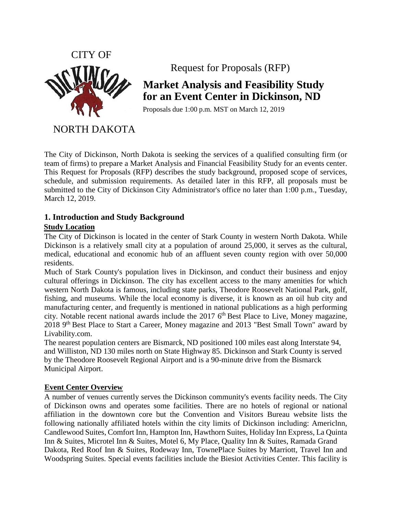

Request for Proposals (RFP)

# **Market Analysis and Feasibility Study for an Event Center in Dickinson, ND**

Proposals due 1:00 p.m. MST on March 12, 2019

NORTH DAKOTA

The City of Dickinson, North Dakota is seeking the services of a qualified consulting firm (or team of firms) to prepare a Market Analysis and Financial Feasibility Study for an events center. This Request for Proposals (RFP) describes the study background, proposed scope of services, schedule, and submission requirements. As detailed later in this RFP, all proposals must be submitted to the City of Dickinson City Administrator's office no later than 1:00 p.m., Tuesday, March 12, 2019.

## **1. Introduction and Study Background**

## **Study Location**

The City of Dickinson is located in the center of Stark County in western North Dakota. While Dickinson is a relatively small city at a population of around 25,000, it serves as the cultural, medical, educational and economic hub of an affluent seven county region with over 50,000 residents.

Much of Stark County's population lives in Dickinson, and conduct their business and enjoy cultural offerings in Dickinson. The city has excellent access to the many amenities for which western North Dakota is famous, including state parks, Theodore Roosevelt National Park, golf, fishing, and museums. While the local economy is diverse, it is known as an oil hub city and manufacturing center, and frequently is mentioned in national publications as a high performing city. Notable recent national awards include the 2017  $6<sup>th</sup>$  Best Place to Live, Money magazine, 2018 9<sup>th</sup> Best Place to Start a Career, Money magazine and 2013 "Best Small Town" award by Livability.com.

The nearest population centers are Bismarck, ND positioned 100 miles east along Interstate 94, and Williston, ND 130 miles north on State Highway 85. Dickinson and Stark County is served by the Theodore Roosevelt Regional Airport and is a 90-minute drive from the Bismarck Municipal Airport.

## **Event Center Overview**

A number of venues currently serves the Dickinson community's events facility needs. The City of Dickinson owns and operates some facilities. There are no hotels of regional or national affiliation in the downtown core but the Convention and Visitors Bureau website lists the following nationally affiliated hotels within the city limits of Dickinson including: Americlnn, Candlewood Suites, Comfort Inn, Hampton Inn, Hawthorn Suites, Holiday Inn Express, La Quinta Inn & Suites, Microtel Inn & Suites, Motel 6, My Place, Quality Inn & Suites, Ramada Grand Dakota, Red Roof Inn & Suites, Rodeway Inn, TownePlace Suites by Marriott, Travel Inn and Woodspring Suites. Special events facilities include the Biesiot Activities Center. This facility is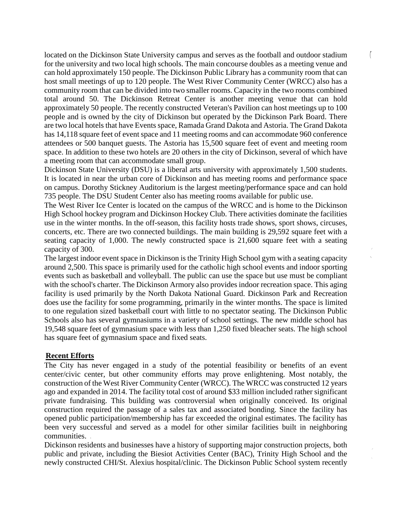located on the Dickinson State University campus and serves as the football and outdoor stadium for the university and two local high schools. The main concourse doubles as a meeting venue and can hold approximately 150 people. The Dickinson Public Library has a community room that can host small meetings of up to 120 people. The West River Community Center (WRCC) also has a community room that can be divided into two smaller rooms. Capacity in the two rooms combined total around 50. The Dickinson Retreat Center is another meeting venue that can hold approximately 50 people. The recently constructed Veteran's Pavilion can host meetings up to 100 people and is owned by the city of Dickinson but operated by the Dickinson Park Board. There are two local hotels that have Events space, Ramada Grand Dakota and Astoria. The Grand Dakota has 14,118 square feet of event space and 11 meeting rooms and can accommodate 960 conference attendees or 500 banquet guests. The Astoria has 15,500 square feet of event and meeting room space. In addition to these two hotels are 20 others in the city of Dickinson, several of which have a meeting room that can accommodate small group.

 $\hat{\gamma}$ 

Dickinson State University (DSU) is a liberal arts university with approximately 1,500 students. It is located in near the urban core of Dickinson and has meeting rooms and performance space on campus. Dorothy Stickney Auditorium is the largest meeting/performance space and can hold 735 people. The DSU Student Center also has meeting rooms available for public use.

The West River Ice Center is located on the campus of the WRCC and is home to the Dickinson High School hockey program and Dickinson Hockey Club. There activities dominate the facilities use in the winter months. In the off-season, this facility hosts trade shows, sport shows, circuses, concerts, etc. There are two connected buildings. The main building is 29,592 square feet with a seating capacity of 1,000. The newly constructed space is 21,600 square feet with a seating capacity of 300.

The largest indoor event space in Dickinson is the Trinity High School gym with a seating capacity around 2,500. This space is primarily used for the catholic high school events and indoor sporting events such as basketball and volleyball. The public can use the space but use must be compliant with the school's charter. The Dickinson Armory also provides indoor recreation space. This aging facility is used primarily by the North Dakota National Guard. Dickinson Park and Recreation does use the facility for some programming, primarily in the winter months. The space is limited to one regulation sized basketball court with little to no spectator seating. The Dickinson Public Schools also has several gymnasiums in a variety of school settings. The new middle school has 19,548 square feet of gymnasium space with less than 1,250 fixed bleacher seats. The high school has square feet of gymnasium space and fixed seats.

#### **Recent Efforts**

The City has never engaged in a study of the potential feasibility or benefits of an event center/civic center, but other community efforts may prove enlightening. Most notably, the construction of the West River Community Center (WRCC). The WRCC was constructed 12 years ago and expanded in 2014. The facility total cost of around \$33 million included rather significant private fundraising. This building was controversial when originally conceived. Its original construction required the passage of a sales tax and associated bonding. Since the facility has opened public participation/membership has far exceeded the original estimates. The facility has been very successful and served as a model for other similar facilities built in neighboring communities.

Dickinson residents and businesses have a history of supporting major construction projects, both public and private, including the Biesiot Activities Center (BAC), Trinity High School and the newly constructed CHI/St. Alexius hospital/clinic. The Dickinson Public School system recently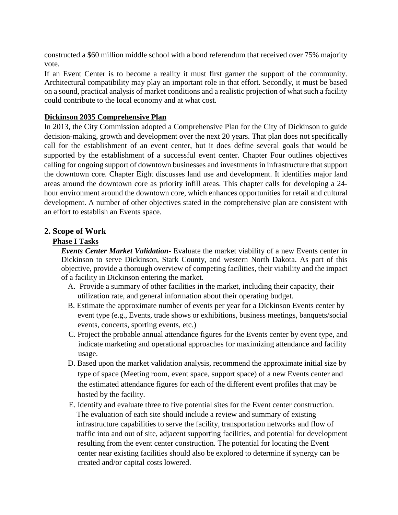constructed a \$60 million middle school with a bond referendum that received over 75% majority vote.

If an Event Center is to become a reality it must first garner the support of the community. Architectural compatibility may play an important role in that effort. Secondly, it must be based on a sound, practical analysis of market conditions and a realistic projection of what such a facility could contribute to the local economy and at what cost.

## **Dickinson 2035 Comprehensive Plan**

In 2013, the City Commission adopted a Comprehensive Plan for the City of Dickinson to guide decision-making, growth and development over the next 20 years. That plan does not specifically call for the establishment of an event center, but it does define several goals that would be supported by the establishment of a successful event center. Chapter Four outlines objectives calling for ongoing support of downtown businesses and investments in infrastructure that support the downtown core. Chapter Eight discusses land use and development. It identifies major land areas around the downtown core as priority infill areas. This chapter calls for developing a 24 hour environment around the downtown core, which enhances opportunities for retail and cultural development. A number of other objectives stated in the comprehensive plan are consistent with an effort to establish an Events space.

## **2. Scope of Work**

### **Phase I Tasks**

*Events Center Market Validation-* Evaluate the market viability of a new Events center in Dickinson to serve Dickinson, Stark County, and western North Dakota. As part of this objective, provide a thorough overview of competing facilities, their viability and the impact of a facility in Dickinson entering the market.

- A. Provide a summary of other facilities in the market, including their capacity, their utilization rate, and general information about their operating budget.
- B. Estimate the approximate number of events per year for a Dickinson Events center by event type (e.g., Events, trade shows or exhibitions, business meetings, banquets/social events, concerts, sporting events, etc.)
- C. Project the probable annual attendance figures for the Events center by event type, and indicate marketing and operational approaches for maximizing attendance and facility usage.
- D. Based upon the market validation analysis, recommend the approximate initial size by type of space (Meeting room, event space, support space) of a new Events center and the estimated attendance figures for each of the different event profiles that may be hosted by the facility.
- E. Identify and evaluate three to five potential sites for the Event center construction. The evaluation of each site should include a review and summary of existing infrastructure capabilities to serve the facility, transportation networks and flow of traffic into and out of site, adjacent supporting facilities, and potential for development resulting from the event center construction. The potential for locating the Event center near existing facilities should also be explored to determine if synergy can be created and/or capital costs lowered.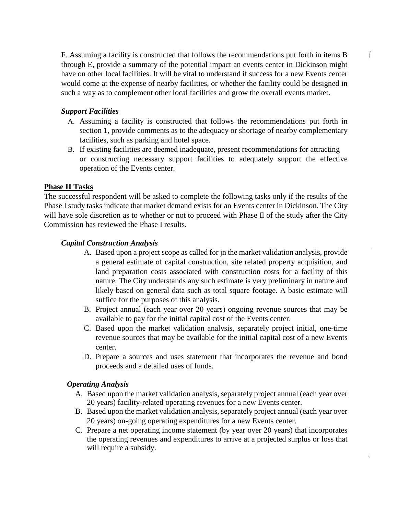F. Assuming a facility is constructed that follows the recommendations put forth in items B through E, provide a summary of the potential impact an events center in Dickinson might have on other local facilities. It will be vital to understand if success for a new Events center would come at the expense of nearby facilities, or whether the facility could be designed in such a way as to complement other local facilities and grow the overall events market.

#### *Support Facilities*

- A. Assuming a facility is constructed that follows the recommendations put forth in section 1, provide comments as to the adequacy or shortage of nearby complementary facilities, such as parking and hotel space.
- B. If existing facilities are deemed inadequate, present recommendations for attracting or constructing necessary support facilities to adequately support the effective operation of the Events center.

#### **Phase II Tasks**

The successful respondent will be asked to complete the following tasks only if the results of the Phase I study tasks indicate that market demand exists for an Events center in Dickinson. The City will have sole discretion as to whether or not to proceed with Phase Il of the study after the City Commission has reviewed the Phase I results.

#### *Capital Construction Analysis*

- A. Based upon a project scope as called for jn the market validation analysis, provide a general estimate of capital construction, site related property acquisition, and land preparation costs associated with construction costs for a facility of this nature. The City understands any such estimate is very preliminary in nature and likely based on general data such as total square footage. A basic estimate will suffice for the purposes of this analysis.
- B. Project annual (each year over 20 years) ongoing revenue sources that may be available to pay for the initial capital cost of the Events center.
- C. Based upon the market validation analysis, separately project initial, one-time revenue sources that may be available for the initial capital cost of a new Events center.
- D. Prepare a sources and uses statement that incorporates the revenue and bond proceeds and a detailed uses of funds.

#### *Operating Analysis*

- A. Based upon the market validation analysis, separately project annual (each year over 20 years) facility-related operating revenues for a new Events center.
- B. Based upon the market validation analysis, separately project annual (each year over 20 years) on-going operating expenditures for a new Events center.
- C. Prepare a net operating income statement (by year over 20 years) that incorporates the operating revenues and expenditures to arrive at a projected surplus or loss that will require a subsidy.

 $\tilde{\chi}$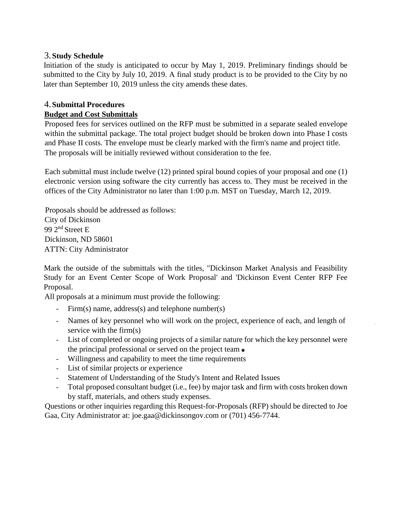## 3.**Study Schedule**

Initiation of the study is anticipated to occur by May 1, 2019. Preliminary findings should be submitted to the City by July 10, 2019. A final study product is to be provided to the City by no later than September 10, 2019 unless the city amends these dates.

## 4.**Submittal Procedures**

## **Budget and Cost Submittals**

Proposed fees for services outlined on the RFP must be submitted in a separate sealed envelope within the submittal package. The total project budget should be broken down into Phase I costs and Phase II costs. The envelope must be clearly marked with the firm's name and project title. The proposals will be initially reviewed without consideration to the fee.

Each submittal must include twelve (12) printed spiral bound copies of your proposal and one (1) electronic version using software the city currently has access to. They must be received in the offices of the City Administrator no later than 1:00 p.m. MST on Tuesday, March 12, 2019.

Proposals should be addressed as follows: City of Dickinson 99 2nd Street E Dickinson, ND 58601 ATTN: City Administrator

Mark the outside of the submittals with the titles, "Dickinson Market Analysis and Feasibility Study for an Event Center Scope of Work Proposal' and 'Dickinson Event Center RFP Fee Proposal.

All proposals at a minimum must provide the following:

- $Firm(s)$  name, address(s) and telephone number(s)
- Names of key personnel who will work on the project, experience of each, and length of service with the firm(s)
- List of completed or ongoing projects of a similar nature for which the key personnel were the principal professional or served on the project team  $\bullet$
- Willingness and capability to meet the time requirements
- List of similar projects or experience
- Statement of Understanding of the Study's Intent and Related Issues
- Total proposed consultant budget (i.e., fee) by major task and firm with costs broken down by staff, materials, and others study expenses.

Questions or other inquiries regarding this Request-for-Proposals (RFP) should be directed to Joe Gaa, City Administrator at: joe.gaa@dickinsongov.com or (701) 456-7744.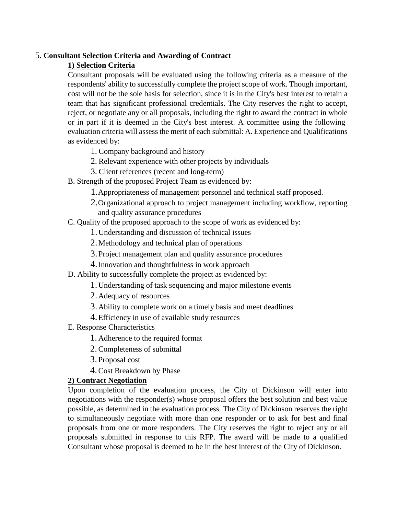#### 5. **Consultant Selection Criteria and Awarding of Contract**

## **1) Selection Criteria**

Consultant proposals will be evaluated using the following criteria as a measure of the respondents' ability to successfully complete the project scope of work. Though important, cost will not be the sole basis for selection, since it is in the City's best interest to retain a team that has significant professional credentials. The City reserves the right to accept, reject, or negotiate any or all proposals, including the right to award the contract in whole or in part if it is deemed in the City's best interest. A committee using the following evaluation criteria will assess the merit of each submittal: A. Experience and Qualifications as evidenced by:

- 1. Company background and history
- 2. Relevant experience with other projects by individuals
- 3. Client references (recent and long-term)
- B. Strength of the proposed Project Team as evidenced by:
	- 1.Appropriateness of management personnel and technical staff proposed.
	- 2.Organizational approach to project management including workflow, reporting and quality assurance procedures
- C. Quality of the proposed approach to the scope of work as evidenced by:
	- 1.Understanding and discussion of technical issues
	- 2.Methodology and technical plan of operations
	- 3.Project management plan and quality assurance procedures
	- 4.Innovation and thoughtfulness in work approach
- D. Ability to successfully complete the project as evidenced by:
	- 1.Understanding of task sequencing and major milestone events
	- 2.Adequacy of resources
	- 3.Ability to complete work on a timely basis and meet deadlines
	- 4.Efficiency in use of available study resources
- E. Response Characteristics
	- 1. Adherence to the required format
	- 2.Completeness of submittal
	- 3. Proposal cost
	- 4.Cost Breakdown by Phase

## **2) Contract Negotiation**

Upon completion of the evaluation process, the City of Dickinson will enter into negotiations with the responder(s) whose proposal offers the best solution and best value possible, as determined in the evaluation process. The City of Dickinson reserves the right to simultaneously negotiate with more than one responder or to ask for best and final proposals from one or more responders. The City reserves the right to reject any or all proposals submitted in response to this RFP. The award will be made to a qualified Consultant whose proposal is deemed to be in the best interest of the City of Dickinson.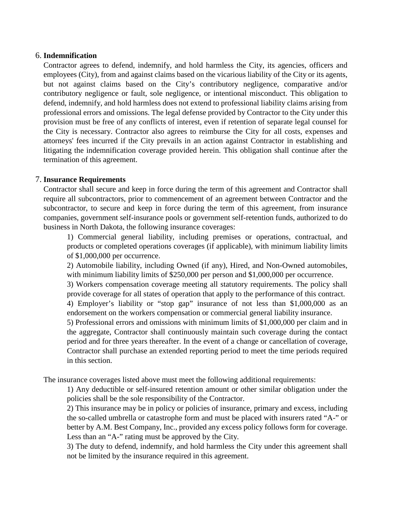#### 6. **Indemnification**

Contractor agrees to defend, indemnify, and hold harmless the City, its agencies, officers and employees (City), from and against claims based on the vicarious liability of the City or its agents, but not against claims based on the City's contributory negligence, comparative and/or contributory negligence or fault, sole negligence, or intentional misconduct. This obligation to defend, indemnify, and hold harmless does not extend to professional liability claims arising from professional errors and omissions. The legal defense provided by Contractor to the City under this provision must be free of any conflicts of interest, even if retention of separate legal counsel for the City is necessary. Contractor also agrees to reimburse the City for all costs, expenses and attorneys' fees incurred if the City prevails in an action against Contractor in establishing and litigating the indemnification coverage provided herein. This obligation shall continue after the termination of this agreement.

#### 7. **Insurance Requirements**

Contractor shall secure and keep in force during the term of this agreement and Contractor shall require all subcontractors, prior to commencement of an agreement between Contractor and the subcontractor, to secure and keep in force during the term of this agreement, from insurance companies, government self-insurance pools or government self-retention funds, authorized to do business in North Dakota, the following insurance coverages:

1) Commercial general liability, including premises or operations, contractual, and products or completed operations coverages (if applicable), with minimum liability limits of \$1,000,000 per occurrence.

2) Automobile liability, including Owned (if any), Hired, and Non-Owned automobiles, with minimum liability limits of \$250,000 per person and \$1,000,000 per occurrence.

3) Workers compensation coverage meeting all statutory requirements. The policy shall provide coverage for all states of operation that apply to the performance of this contract.

4) Employer's liability or "stop gap" insurance of not less than \$1,000,000 as an endorsement on the workers compensation or commercial general liability insurance.

5) Professional errors and omissions with minimum limits of \$1,000,000 per claim and in the aggregate, Contractor shall continuously maintain such coverage during the contact period and for three years thereafter. In the event of a change or cancellation of coverage, Contractor shall purchase an extended reporting period to meet the time periods required in this section.

The insurance coverages listed above must meet the following additional requirements:

1) Any deductible or self-insured retention amount or other similar obligation under the policies shall be the sole responsibility of the Contractor.

2) This insurance may be in policy or policies of insurance, primary and excess, including the so-called umbrella or catastrophe form and must be placed with insurers rated "A-" or better by A.M. Best Company, Inc., provided any excess policy follows form for coverage. Less than an "A-" rating must be approved by the City.

3) The duty to defend, indemnify, and hold harmless the City under this agreement shall not be limited by the insurance required in this agreement.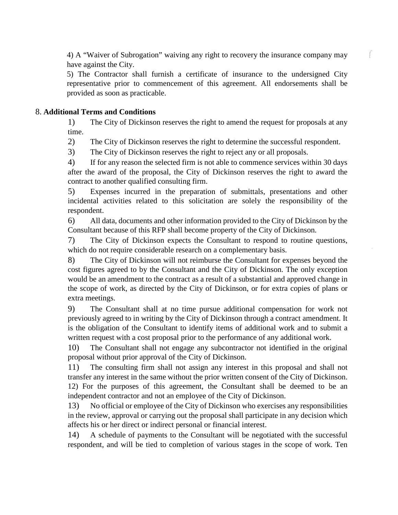4) A "Waiver of Subrogation" waiving any right to recovery the insurance company may have against the City.

f.

5) The Contractor shall furnish a certificate of insurance to the undersigned City representative prior to commencement of this agreement. All endorsements shall be provided as soon as practicable.

## 8. **Additional Terms and Conditions**

1) The City of Dickinson reserves the right to amend the request for proposals at any time.

2) The City of Dickinson reserves the right to determine the successful respondent.

3) The City of Dickinson reserves the right to reject any or all proposals.

4) If for any reason the selected firm is not able to commence services within 30 days after the award of the proposal, the City of Dickinson reserves the right to award the contract to another qualified consulting firm.

5) Expenses incurred in the preparation of submittals, presentations and other incidental activities related to this solicitation are solely the responsibility of the respondent.

6) All data, documents and other information provided to the City of Dickinson by the Consultant because of this RFP shall become property of the City of Dickinson.

7) The City of Dickinson expects the Consultant to respond to routine questions, which do not require considerable research on a complementary basis.

8) The City of Dickinson will not reimburse the Consultant for expenses beyond the cost figures agreed to by the Consultant and the City of Dickinson. The only exception would be an amendment to the contract as a result of a substantial and approved change in the scope of work, as directed by the City of Dickinson, or for extra copies of plans or extra meetings.

9) The Consultant shall at no time pursue additional compensation for work not previously agreed to in writing by the City of Dickinson through a contract amendment. It is the obligation of the Consultant to identify items of additional work and to submit a written request with a cost proposal prior to the performance of any additional work.

10) The Consultant shall not engage any subcontractor not identified in the original proposal without prior approval of the City of Dickinson.

11) The consulting firm shall not assign any interest in this proposal and shall not transfer any interest in the same without the prior written consent of the City of Dickinson. 12) For the purposes of this agreement, the Consultant shall be deemed to be an independent contractor and not an employee of the City of Dickinson.

13) No official or employee of the City of Dickinson who exercises any responsibilities in the review, approval or carrying out the proposal shall participate in any decision which affects his or her direct or indirect personal or financial interest.

14) A schedule of payments to the Consultant will be negotiated with the successful respondent, and will be tied to completion of various stages in the scope of work. Ten